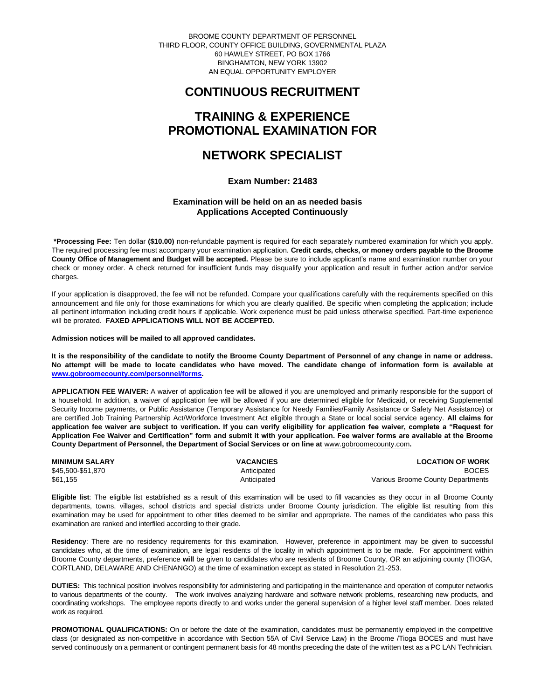BROOME COUNTY DEPARTMENT OF PERSONNEL THIRD FLOOR, COUNTY OFFICE BUILDING, GOVERNMENTAL PLAZA 60 HAWLEY STREET, PO BOX 1766 BINGHAMTON, NEW YORK 13902 AN EQUAL OPPORTUNITY EMPLOYER

# **CONTINUOUS RECRUITMENT**

## **TRAINING & EXPERIENCE PROMOTIONAL EXAMINATION FOR**

# **NETWORK SPECIALIST**

## **Exam Number: 21483**

### **Examination will be held on an as needed basis Applications Accepted Continuously**

**\*Processing Fee:** Ten dollar **(\$10.00)** non-refundable payment is required for each separately numbered examination for which you apply. The required processing fee must accompany your examination application. **Credit cards, checks, or money orders payable to the Broome County Office of Management and Budget will be accepted.** Please be sure to include applicant's name and examination number on your check or money order. A check returned for insufficient funds may disqualify your application and result in further action and/or service charges.

If your application is disapproved, the fee will not be refunded. Compare your qualifications carefully with the requirements specified on this announcement and file only for those examinations for which you are clearly qualified. Be specific when completing the application; include all pertinent information including credit hours if applicable. Work experience must be paid unless otherwise specified. Part-time experience will be prorated. **FAXED APPLICATIONS WILL NOT BE ACCEPTED.** 

### **Admission notices will be mailed to all approved candidates.**

**It is the responsibility of the candidate to notify the Broome County Department of Personnel of any change in name or address. No attempt will be made to locate candidates who have moved. The candidate change of information form is available at [www.gobroomecounty.com/personnel/forms.](http://www.gobroomecounty.com/personnel/forms)** 

**APPLICATION FEE WAIVER:** A waiver of application fee will be allowed if you are unemployed and primarily responsible for the support of a household. In addition, a waiver of application fee will be allowed if you are determined eligible for Medicaid, or receiving Supplemental Security Income payments, or Public Assistance (Temporary Assistance for Needy Families/Family Assistance or Safety Net Assistance) or are certified Job Training Partnership Act/Workforce Investment Act eligible through a State or local social service agency. **All claims for application fee waiver are subject to verification. If you can verify eligibility for application fee waiver, complete a "Request for Application Fee Waiver and Certification" form and submit it with your application. Fee waiver forms are available at the Broome County Department of Personnel, the Department of Social Services or on line at** www.gobroomecounty.com**.** 

| <b>MINIMUM SALARY</b> | <b>VACANCIES</b> | <b>LOCATION OF WORK</b>           |
|-----------------------|------------------|-----------------------------------|
| \$45,500-\$51,870     | Anticipated      | <b>BOCES</b>                      |
| \$61,155              | Anticipated      | Various Broome County Departments |

**Eligible list**: The eligible list established as a result of this examination will be used to fill vacancies as they occur in all Broome County departments, towns, villages, school districts and special districts under Broome County jurisdiction. The eligible list resulting from this examination may be used for appointment to other titles deemed to be similar and appropriate. The names of the candidates who pass this examination are ranked and interfiled according to their grade.

**Residency**: There are no residency requirements for this examination. However, preference in appointment may be given to successful candidates who, at the time of examination, are legal residents of the locality in which appointment is to be made. For appointment within Broome County departments, preference **will** be given to candidates who are residents of Broome County, OR an adjoining county (TIOGA, CORTLAND, DELAWARE AND CHENANGO) at the time of examination except as stated in Resolution 21-253.

**DUTIES:** This technical position involves responsibility for administering and participating in the maintenance and operation of computer networks to various departments of the county. The work involves analyzing hardware and software network problems, researching new products, and coordinating workshops. The employee reports directly to and works under the general supervision of a higher level staff member. Does related work as required.

**PROMOTIONAL QUALIFICATIONS:** On or before the date of the examination, candidates must be permanently employed in the competitive class (or designated as non-competitive in accordance with Section 55A of Civil Service Law) in the Broome /Tioga BOCES and must have served continuously on a permanent or contingent permanent basis for 48 months preceding the date of the written test as a PC LAN Technician.